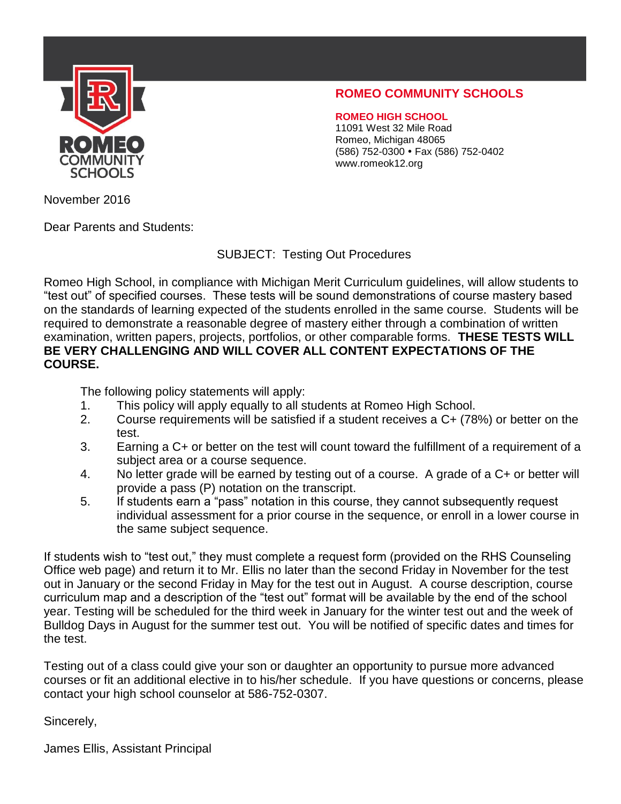

## **ROMEO COMMUNITY SCHOOLS**

**ROMEO HIGH SCHOOL** 11091 West 32 Mile Road Romeo, Michigan 48065 (586) 752-0300 Fax (586) 752-0402 www.romeok12.org

November 2016

Dear Parents and Students:

SUBJECT: Testing Out Procedures

Romeo High School, in compliance with Michigan Merit Curriculum guidelines, will allow students to "test out" of specified courses. These tests will be sound demonstrations of course mastery based on the standards of learning expected of the students enrolled in the same course. Students will be required to demonstrate a reasonable degree of mastery either through a combination of written examination, written papers, projects, portfolios, or other comparable forms. **THESE TESTS WILL BE VERY CHALLENGING AND WILL COVER ALL CONTENT EXPECTATIONS OF THE COURSE.**

The following policy statements will apply:

- 1. This policy will apply equally to all students at Romeo High School.
- 2. Course requirements will be satisfied if a student receives a C+ (78%) or better on the test.
- 3. Earning a C+ or better on the test will count toward the fulfillment of a requirement of a subject area or a course sequence.
- 4. No letter grade will be earned by testing out of a course. A grade of a C+ or better will provide a pass (P) notation on the transcript.
- 5. If students earn a "pass" notation in this course, they cannot subsequently request individual assessment for a prior course in the sequence, or enroll in a lower course in the same subject sequence.

If students wish to "test out," they must complete a request form (provided on the RHS Counseling Office web page) and return it to Mr. Ellis no later than the second Friday in November for the test out in January or the second Friday in May for the test out in August. A course description, course curriculum map and a description of the "test out" format will be available by the end of the school year. Testing will be scheduled for the third week in January for the winter test out and the week of Bulldog Days in August for the summer test out. You will be notified of specific dates and times for the test.

Testing out of a class could give your son or daughter an opportunity to pursue more advanced courses or fit an additional elective in to his/her schedule. If you have questions or concerns, please contact your high school counselor at 586-752-0307.

Sincerely,

James Ellis, Assistant Principal